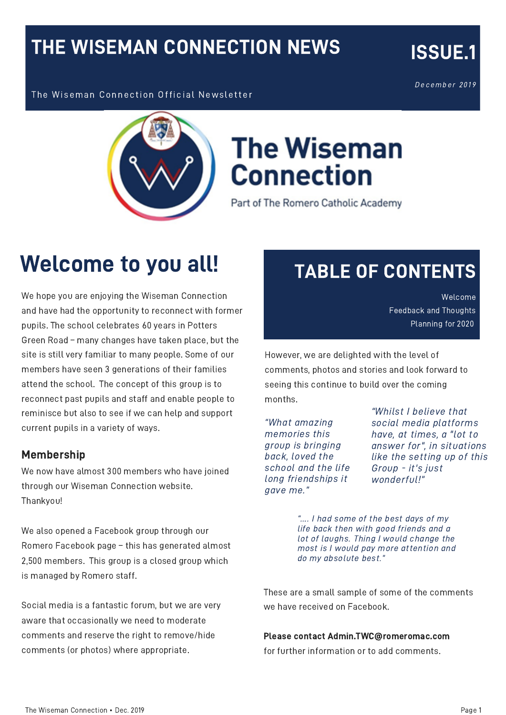#### THE WISEMAN CONNECTION NEWS

December 2019

ISSUE.1

The Wiseman Connection Official Newsletter



# **The Wiseman Connection**

Part of The Romero Catholic Academy

## Welcome to you all!

We hope you are enjoying the Wiseman Connection and have had the opportunity to reconnect with former pupils. The school celebrates 60 years in Potters Green Road – many changes have taken place, but the site is still very familiar to many people. Some of our members have seen 3 generations of their families attend the school. The concept of this group is to reconnect past pupils and staff and enable people to reminisce but also to see if we can help and support current pupils in a variety of ways.

#### Membership

We now have almost 300 members who have joined through our Wiseman Connection website. Thankyou!

We also opened a Facebook group through our Romero Facebook page – this has generated almost 2,500 members. This group is a closed group which is managed by Romero staff.

Social media is a fantastic forum, but we are very aware that occasionally we need to moderate comments and reserve the right to remove/hide comments (or photos) where appropriate.

#### TABLE OF CONTENTS

Welcome Feedback and Thoughts Planning for 2020

However, we are delighted with the level of comments, photos and stories and look forward to seeing this continue to build over the coming months.

"What amazing memories this group is bringing back, loved the school and the life long friendships it gave me."

"Whilst I believe that social media platforms have, at times, a "lot to answer for", in situations like the setting up of this Group - it's just wonderful!"

"…. I had some of the best days of my life back then with good friends and a lot of laughs. Thing I would change the most is I would pay more attention and do my absolute best."

These are a small sample of some of the comments we have received on Facebook.

#### Please contact Admin.TWC@romeromac.com

for further information or to add comments.